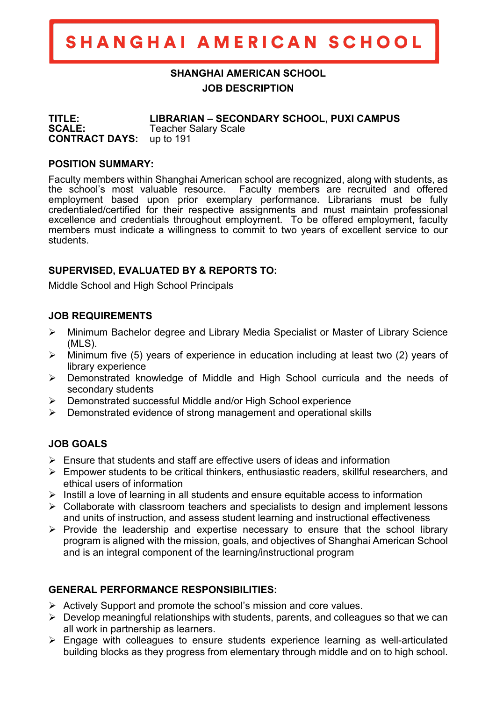# SHANGHAI AMERICAN SCHOOL

## **SHANGHAI AMERICAN SCHOOL JOB DESCRIPTION**

**TITLE: LIBRARIAN – SECONDARY SCHOOL, PUXI CAMPUS SCALE:** Teacher Salary Scale **CONTRACT DAYS:** up to 191

#### **POSITION SUMMARY:**

Faculty members within Shanghai American school are recognized, along with students, as the school's most valuable resource. Faculty members are recruited and offered employment based upon prior exemplary performance. Librarians must be fully credentialed/certified for their respective assignments and must maintain professional excellence and credentials throughout employment. To be offered employment, faculty members must indicate a willingness to commit to two years of excellent service to our students.

## **SUPERVISED, EVALUATED BY & REPORTS TO:**

Middle School and High School Principals

#### **JOB REQUIREMENTS**

- Ø Minimum Bachelor degree and Library Media Specialist or Master of Library Science (MLS).
- $\triangleright$  Minimum five (5) years of experience in education including at least two (2) years of library experience
- $\triangleright$  Demonstrated knowledge of Middle and High School curricula and the needs of secondary students
- $\triangleright$  Demonstrated successful Middle and/or High School experience
- $\triangleright$  Demonstrated evidence of strong management and operational skills

## **JOB GOALS**

- $\triangleright$  Ensure that students and staff are effective users of ideas and information
- $\triangleright$  Empower students to be critical thinkers, enthusiastic readers, skillful researchers, and ethical users of information
- $\triangleright$  Instill a love of learning in all students and ensure equitable access to information
- $\triangleright$  Collaborate with classroom teachers and specialists to design and implement lessons and units of instruction, and assess student learning and instructional effectiveness
- $\triangleright$  Provide the leadership and expertise necessary to ensure that the school library program is aligned with the mission, goals, and objectives of Shanghai American School and is an integral component of the learning/instructional program

## **GENERAL PERFORMANCE RESPONSIBILITIES:**

- $\triangleright$  Actively Support and promote the school's mission and core values.
- $\triangleright$  Develop meaningful relationships with students, parents, and colleagues so that we can all work in partnership as learners.
- $\triangleright$  Engage with colleagues to ensure students experience learning as well-articulated building blocks as they progress from elementary through middle and on to high school.